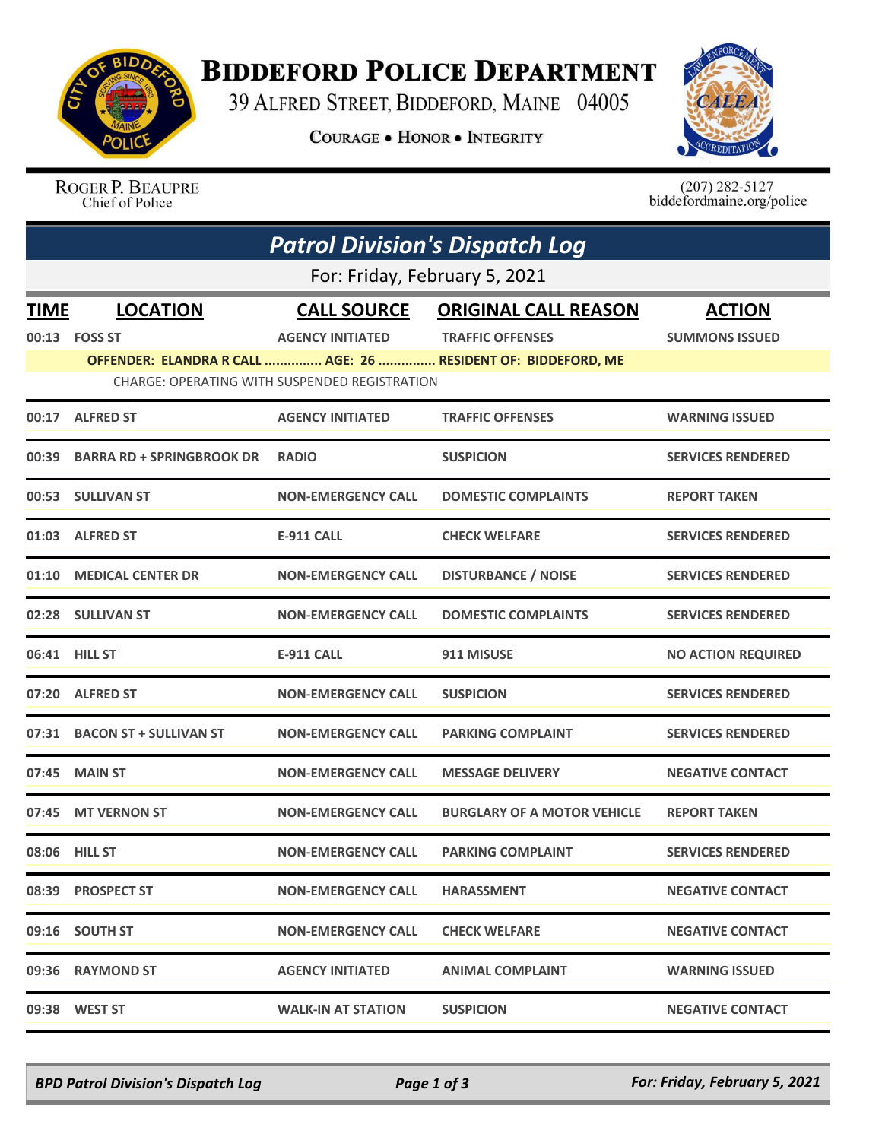

## **BIDDEFORD POLICE DEPARTMENT**

39 ALFRED STREET, BIDDEFORD, MAINE 04005

**COURAGE . HONOR . INTEGRITY** 



ROGER P. BEAUPRE Chief of Police

 $(207)$  282-5127<br>biddefordmaine.org/police

|       | <b>Patrol Division's Dispatch Log</b> |                                               |                                                               |                           |  |  |  |  |
|-------|---------------------------------------|-----------------------------------------------|---------------------------------------------------------------|---------------------------|--|--|--|--|
|       | For: Friday, February 5, 2021         |                                               |                                                               |                           |  |  |  |  |
| TIME  | <b>LOCATION</b>                       | <b>CALL SOURCE</b>                            | <b>ORIGINAL CALL REASON</b>                                   | <b>ACTION</b>             |  |  |  |  |
|       | 00:13    FOSS ST                      | <b>AGENCY INITIATED</b>                       | <b>TRAFFIC OFFENSES</b>                                       | <b>SUMMONS ISSUED</b>     |  |  |  |  |
|       |                                       |                                               | OFFENDER: ELANDRA R CALL  AGE: 26  RESIDENT OF: BIDDEFORD, ME |                           |  |  |  |  |
|       |                                       | CHARGE: OPERATING WITH SUSPENDED REGISTRATION |                                                               |                           |  |  |  |  |
| 00:17 | <b>ALFRED ST</b>                      | <b>AGENCY INITIATED</b>                       | <b>TRAFFIC OFFENSES</b>                                       | <b>WARNING ISSUED</b>     |  |  |  |  |
|       | 00:39 BARRA RD + SPRINGBROOK DR       | <b>RADIO</b>                                  | <b>SUSPICION</b>                                              | <b>SERVICES RENDERED</b>  |  |  |  |  |
|       | 00:53 SULLIVAN ST                     | <b>NON-EMERGENCY CALL</b>                     | <b>DOMESTIC COMPLAINTS</b>                                    | <b>REPORT TAKEN</b>       |  |  |  |  |
| 01:03 | <b>ALFRED ST</b>                      | <b>E-911 CALL</b>                             | <b>CHECK WELFARE</b>                                          | <b>SERVICES RENDERED</b>  |  |  |  |  |
|       | 01:10 MEDICAL CENTER DR               | <b>NON-EMERGENCY CALL</b>                     | <b>DISTURBANCE / NOISE</b>                                    | <b>SERVICES RENDERED</b>  |  |  |  |  |
|       | 02:28 SULLIVAN ST                     | <b>NON-EMERGENCY CALL</b>                     | <b>DOMESTIC COMPLAINTS</b>                                    | <b>SERVICES RENDERED</b>  |  |  |  |  |
|       | 06:41 HILL ST                         | <b>E-911 CALL</b>                             | 911 MISUSE                                                    | <b>NO ACTION REQUIRED</b> |  |  |  |  |
|       | 07:20 ALFRED ST                       | <b>NON-EMERGENCY CALL</b>                     | <b>SUSPICION</b>                                              | <b>SERVICES RENDERED</b>  |  |  |  |  |
|       | 07:31 BACON ST + SULLIVAN ST          | <b>NON-EMERGENCY CALL</b>                     | <b>PARKING COMPLAINT</b>                                      | <b>SERVICES RENDERED</b>  |  |  |  |  |
|       | 07:45 MAIN ST                         | <b>NON-EMERGENCY CALL</b>                     | <b>MESSAGE DELIVERY</b>                                       | <b>NEGATIVE CONTACT</b>   |  |  |  |  |
| 07:45 | <b>MT VERNON ST</b>                   | <b>NON-EMERGENCY CALL</b>                     | <b>BURGLARY OF A MOTOR VEHICLE</b>                            | <b>REPORT TAKEN</b>       |  |  |  |  |
|       | 08:06 HILL ST                         | <b>NON-EMERGENCY CALL</b>                     | <b>PARKING COMPLAINT</b>                                      | <b>SERVICES RENDERED</b>  |  |  |  |  |
|       | 08:39 PROSPECT ST                     | <b>NON-EMERGENCY CALL</b>                     | <b>HARASSMENT</b>                                             | <b>NEGATIVE CONTACT</b>   |  |  |  |  |
|       | 09:16 SOUTH ST                        | <b>NON-EMERGENCY CALL</b>                     | <b>CHECK WELFARE</b>                                          | <b>NEGATIVE CONTACT</b>   |  |  |  |  |
|       | 09:36 RAYMOND ST                      | <b>AGENCY INITIATED</b>                       | <b>ANIMAL COMPLAINT</b>                                       | <b>WARNING ISSUED</b>     |  |  |  |  |
|       | 09:38 WEST ST                         | <b>WALK-IN AT STATION</b>                     | <b>SUSPICION</b>                                              | <b>NEGATIVE CONTACT</b>   |  |  |  |  |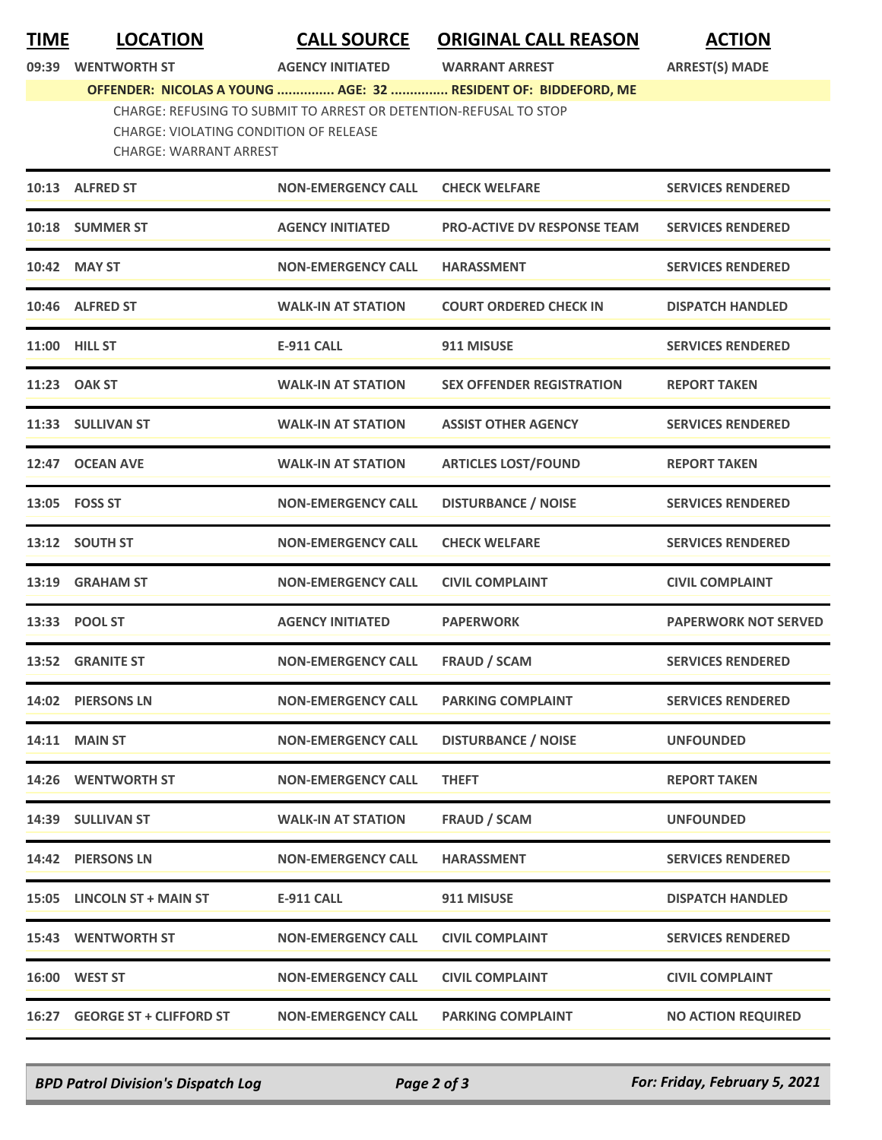**TIME LOCATION CALL SOURCE ORIGINAL CALL REASON ACTION**

**09:39 WENTWORTH ST AGENCY INITIATED WARRANT ARREST ARREST(S) MADE**

**OFFENDER: NICOLAS A YOUNG ............... AGE: 32 ............... RESIDENT OF: BIDDEFORD, ME**

CHARGE: REFUSING TO SUBMIT TO ARREST OR DETENTION-REFUSAL TO STOP CHARGE: VIOLATING CONDITION OF RELEASE CHARGE: WARRANT ARREST

| 10:13 ALFRED ST            | <b>NON-EMERGENCY CALL</b> | <b>CHECK WELFARE</b>               | <b>SERVICES RENDERED</b>    |
|----------------------------|---------------------------|------------------------------------|-----------------------------|
| 10:18 SUMMER ST            | <b>AGENCY INITIATED</b>   | <b>PRO-ACTIVE DV RESPONSE TEAM</b> | <b>SERVICES RENDERED</b>    |
| 10:42 MAY ST               | <b>NON-EMERGENCY CALL</b> | <b>HARASSMENT</b>                  | <b>SERVICES RENDERED</b>    |
| 10:46 ALFRED ST            | <b>WALK-IN AT STATION</b> | <b>COURT ORDERED CHECK IN</b>      | <b>DISPATCH HANDLED</b>     |
| 11:00 HILL ST              | <b>E-911 CALL</b>         | 911 MISUSE                         | <b>SERVICES RENDERED</b>    |
| 11:23 OAK ST               | <b>WALK-IN AT STATION</b> | <b>SEX OFFENDER REGISTRATION</b>   | <b>REPORT TAKEN</b>         |
| 11:33 SULLIVAN ST          | <b>WALK-IN AT STATION</b> | <b>ASSIST OTHER AGENCY</b>         | <b>SERVICES RENDERED</b>    |
| 12:47 OCEAN AVE            | <b>WALK-IN AT STATION</b> | <b>ARTICLES LOST/FOUND</b>         | <b>REPORT TAKEN</b>         |
| 13:05    FOSS ST           | <b>NON-EMERGENCY CALL</b> | <b>DISTURBANCE / NOISE</b>         | <b>SERVICES RENDERED</b>    |
| 13:12 SOUTH ST             | <b>NON-EMERGENCY CALL</b> | <b>CHECK WELFARE</b>               | <b>SERVICES RENDERED</b>    |
| 13:19 GRAHAM ST            | <b>NON-EMERGENCY CALL</b> | <b>CIVIL COMPLAINT</b>             | <b>CIVIL COMPLAINT</b>      |
| 13:33 POOL ST              | <b>AGENCY INITIATED</b>   | <b>PAPERWORK</b>                   | <b>PAPERWORK NOT SERVED</b> |
| 13:52 GRANITE ST           | <b>NON-EMERGENCY CALL</b> | <b>FRAUD / SCAM</b>                | <b>SERVICES RENDERED</b>    |
| 14:02 PIERSONS LN          | <b>NON-EMERGENCY CALL</b> | <b>PARKING COMPLAINT</b>           | <b>SERVICES RENDERED</b>    |
| 14:11 MAIN ST              | <b>NON-EMERGENCY CALL</b> | <b>DISTURBANCE / NOISE</b>         | <b>UNFOUNDED</b>            |
|                            |                           |                                    |                             |
| 14:26 WENTWORTH ST         | <b>NON-EMERGENCY CALL</b> | <b>THEFT</b>                       | <b>REPORT TAKEN</b>         |
| 14:39 SULLIVAN ST          | <b>WALK-IN AT STATION</b> | <b>FRAUD / SCAM</b>                | <b>UNFOUNDED</b>            |
| 14:42 PIERSONS LN          | <b>NON-EMERGENCY CALL</b> | <b>HARASSMENT</b>                  | <b>SERVICES RENDERED</b>    |
| 15:05 LINCOLN ST + MAIN ST | <b>E-911 CALL</b>         | 911 MISUSE                         | <b>DISPATCH HANDLED</b>     |
| <b>15:43 WENTWORTH ST</b>  | <b>NON-EMERGENCY CALL</b> | <b>CIVIL COMPLAINT</b>             | <b>SERVICES RENDERED</b>    |
| 16:00 WEST ST              | <b>NON-EMERGENCY CALL</b> | <b>CIVIL COMPLAINT</b>             | <b>CIVIL COMPLAINT</b>      |

*BPD Patrol Division's Dispatch Log Page 2 of 3 For: Friday, February 5, 2021*